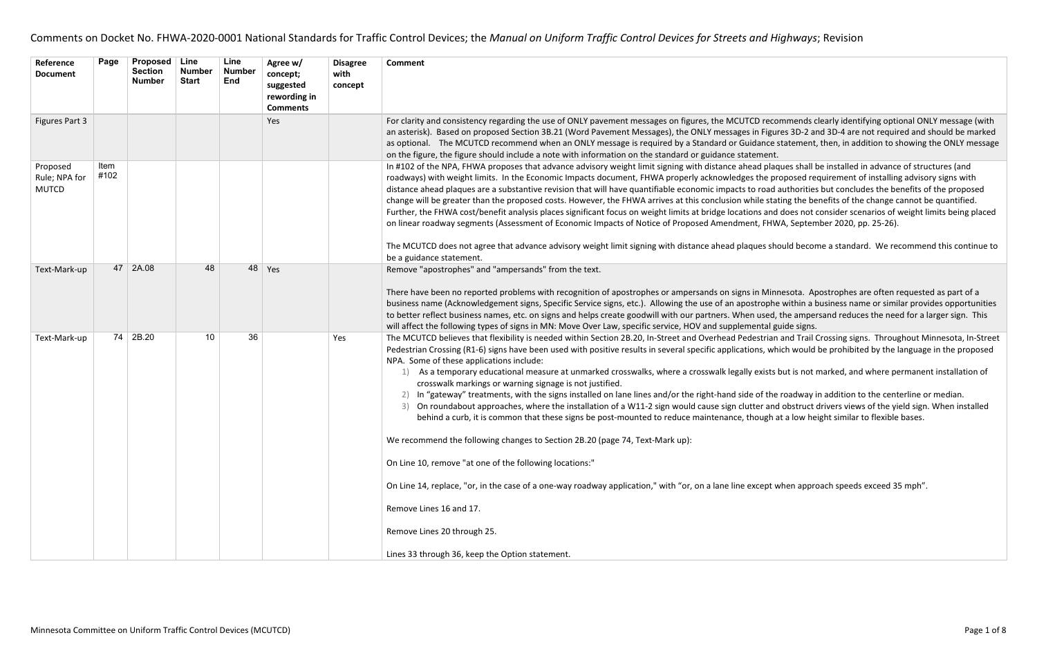| Reference<br><b>Document</b>              | Page         | <b>Proposed</b><br><b>Section</b><br><b>Number</b> | <b>Line</b><br><b>Number</b><br><b>Start</b> | Line<br><b>Number</b><br><b>End</b> | Agree w/<br>concept;<br>suggested<br>rewording in<br><b>Comments</b> | <b>Disagree</b><br>with<br>concept | <b>Comment</b>                                                                                                                                                                                                                                                                                                                                                                                                                                                                                                                                                                                                                                                                                                                                                                                                                                                                                                                                                                                                                                                                                               |
|-------------------------------------------|--------------|----------------------------------------------------|----------------------------------------------|-------------------------------------|----------------------------------------------------------------------|------------------------------------|--------------------------------------------------------------------------------------------------------------------------------------------------------------------------------------------------------------------------------------------------------------------------------------------------------------------------------------------------------------------------------------------------------------------------------------------------------------------------------------------------------------------------------------------------------------------------------------------------------------------------------------------------------------------------------------------------------------------------------------------------------------------------------------------------------------------------------------------------------------------------------------------------------------------------------------------------------------------------------------------------------------------------------------------------------------------------------------------------------------|
| Figures Part 3                            |              |                                                    |                                              |                                     | Yes                                                                  |                                    | For clarity and consistency regarding the use of ONLY pavement messages on figures, the MCUTCD reco<br>an asterisk). Based on proposed Section 3B.21 (Word Pavement Messages), the ONLY messages in Figure<br>as optional. The MCUTCD recommend when an ONLY message is required by a Standard or Guidance :<br>on the figure, the figure should include a note with information on the standard or guidance statement.                                                                                                                                                                                                                                                                                                                                                                                                                                                                                                                                                                                                                                                                                      |
| Proposed<br>Rule; NPA for<br><b>MUTCD</b> | Item<br>#102 |                                                    |                                              |                                     |                                                                      |                                    | In #102 of the NPA, FHWA proposes that advance advisory weight limit signing with distance ahead plac<br>roadways) with weight limits. In the Economic Impacts document, FHWA properly acknowledges the pr<br>distance ahead plaques are a substantive revision that will have quantifiable economic impacts to road<br>change will be greater than the proposed costs. However, the FHWA arrives at this conclusion while sta<br>Further, the FHWA cost/benefit analysis places significant focus on weight limits at bridge locations and<br>on linear roadway segments (Assessment of Economic Impacts of Notice of Proposed Amendment, FHW<br>The MCUTCD does not agree that advance advisory weight limit signing with distance ahead plaques sho<br>be a guidance statement.                                                                                                                                                                                                                                                                                                                           |
| Text-Mark-up                              | 47           | 2A.08                                              | 48                                           | 48                                  | Yes                                                                  |                                    | Remove "apostrophes" and "ampersands" from the text.<br>There have been no reported problems with recognition of apostrophes or ampersands on signs in Mini<br>business name (Acknowledgement signs, Specific Service signs, etc.). Allowing the use of an apostrophe<br>to better reflect business names, etc. on signs and helps create goodwill with our partners. When used,<br>will affect the following types of signs in MN: Move Over Law, specific service, HOV and supplemental g                                                                                                                                                                                                                                                                                                                                                                                                                                                                                                                                                                                                                  |
| Text-Mark-up                              | 74           | 2B.20                                              | 10                                           | 36                                  |                                                                      | Yes                                | The MCUTCD believes that flexibility is needed within Section 2B.20, In-Street and Overhead Pedestrian<br>Pedestrian Crossing (R1-6) signs have been used with positive results in several specific applications, wh<br>NPA. Some of these applications include:<br>As a temporary educational measure at unmarked crosswalks, where a crosswalk legally exists<br>crosswalk markings or warning signage is not justified.<br>In "gateway" treatments, with the signs installed on lane lines and/or the right-hand side of the<br>On roundabout approaches, where the installation of a W11-2 sign would cause sign clutter and<br>3)<br>behind a curb, it is common that these signs be post-mounted to reduce maintenance, though a<br>We recommend the following changes to Section 2B.20 (page 74, Text-Mark up):<br>On Line 10, remove "at one of the following locations:"<br>On Line 14, replace, "or, in the case of a one-way roadway application," with "or, on a lane line except v<br>Remove Lines 16 and 17.<br>Remove Lines 20 through 25.<br>Lines 33 through 36, keep the Option statement. |

recommends clearly identifying optional ONLY message (with Figures 3D-2 and 3D-4 are not required and should be marked ince statement, then, in addition to showing the ONLY message

plaques shall be installed in advance of structures (and he proposed requirement of installing advisory signs with road authorities but concludes the benefits of the proposed e stating the benefits of the change cannot be quantified. and does not consider scenarios of weight limits being placed FHWA, September 2020, pp. 25-26).

es should become a standard. We recommend this continue to

Minnesota. Apostrophes are often requested as part of a ophe within a business name or similar provides opportunities ised, the ampersand reduces the need for a larger sign. This tal guide signs.

trian and Trail Crossing signs. Throughout Minnesota, In-Street s, which would be prohibited by the language in the proposed

xists but is not marked, and where permanent installation of

the roadway in addition to the centerline or median. and obstruct drivers views of the yield sign. When installed agh at a low height similar to flexible bases.

ept when approach speeds exceed 35 mph".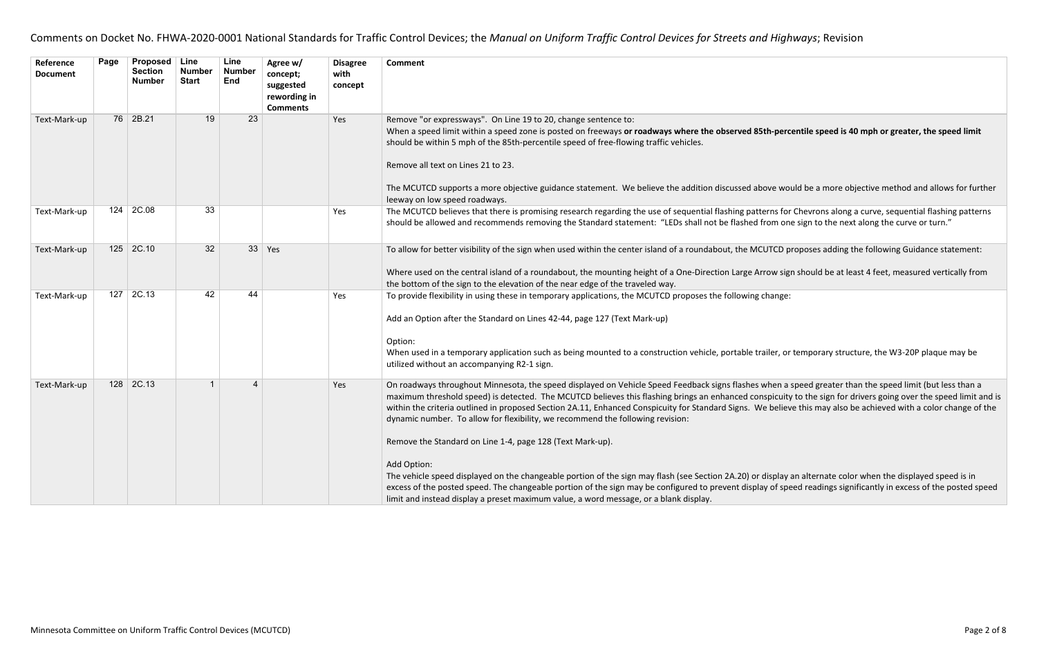| Reference<br><b>Document</b> | Page | Proposed<br><b>Section</b><br><b>Number</b> | Line<br><b>Number</b><br><b>Start</b> | Line<br><b>Number</b><br><b>End</b> | Agree w/<br>concept;<br>suggested<br>rewording in<br><b>Comments</b> | <b>Disagree</b><br>with<br>concept | <b>Comment</b>                                                                                                                                                                                                                                                                                                                                                                                                                                                                                                                                                                                                                                                                                                                                                                                                  |
|------------------------------|------|---------------------------------------------|---------------------------------------|-------------------------------------|----------------------------------------------------------------------|------------------------------------|-----------------------------------------------------------------------------------------------------------------------------------------------------------------------------------------------------------------------------------------------------------------------------------------------------------------------------------------------------------------------------------------------------------------------------------------------------------------------------------------------------------------------------------------------------------------------------------------------------------------------------------------------------------------------------------------------------------------------------------------------------------------------------------------------------------------|
| Text-Mark-up                 |      | 76 2B.21                                    | 19                                    | 23                                  |                                                                      | Yes                                | Remove "or expressways". On Line 19 to 20, change sentence to:<br>When a speed limit within a speed zone is posted on freeways or roadways where the observed 85th-perd<br>should be within 5 mph of the 85th-percentile speed of free-flowing traffic vehicles.<br>Remove all text on Lines 21 to 23.<br>The MCUTCD supports a more objective guidance statement. We believe the addition discussed above wo<br>leeway on low speed roadways.                                                                                                                                                                                                                                                                                                                                                                  |
| Text-Mark-up                 | 124  | 2C.08                                       | 33                                    |                                     |                                                                      | Yes                                | The MCUTCD believes that there is promising research regarding the use of sequential flashing patterns for<br>should be allowed and recommends removing the Standard statement: "LEDs shall not be flashed from on                                                                                                                                                                                                                                                                                                                                                                                                                                                                                                                                                                                              |
| Text-Mark-up                 |      | $125$ 2C.10                                 | 32                                    | 33                                  | Yes                                                                  |                                    | To allow for better visibility of the sign when used within the center island of a roundabout, the MCUTCD p<br>Where used on the central island of a roundabout, the mounting height of a One-Direction Large Arrow sig<br>the bottom of the sign to the elevation of the near edge of the traveled way.                                                                                                                                                                                                                                                                                                                                                                                                                                                                                                        |
| Text-Mark-up                 | 127  | 2C.13                                       | 42                                    | 44                                  |                                                                      | Yes                                | To provide flexibility in using these in temporary applications, the MCUTCD proposes the following change:<br>Add an Option after the Standard on Lines 42-44, page 127 (Text Mark-up)<br>Option:<br>When used in a temporary application such as being mounted to a construction vehicle, portable trailer, or<br>utilized without an accompanying R2-1 sign.                                                                                                                                                                                                                                                                                                                                                                                                                                                  |
| Text-Mark-up                 | 128  | 2C.13                                       |                                       | 4                                   |                                                                      | Yes                                | On roadways throughout Minnesota, the speed displayed on Vehicle Speed Feedback signs flashes when a<br>maximum threshold speed) is detected. The MCUTCD believes this flashing brings an enhanced conspicuity<br>within the criteria outlined in proposed Section 2A.11, Enhanced Conspicuity for Standard Signs. We believ<br>dynamic number. To allow for flexibility, we recommend the following revision:<br>Remove the Standard on Line 1-4, page 128 (Text Mark-up).<br>Add Option:<br>The vehicle speed displayed on the changeable portion of the sign may flash (see Section 2A.20) or display<br>excess of the posted speed. The changeable portion of the sign may be configured to prevent display of spe<br>limit and instead display a preset maximum value, a word message, or a blank display. |

### **Sth-percentile speed is 40 mph or greater, the speed limit**

bove would be a more objective method and allows for further

terns for Chevrons along a curve, sequential flashing patterns from one sign to the next along the curve or turn."

CUTCD proposes adding the following Guidance statement:

rrow sign should be at least 4 feet, measured vertically from

railer, or temporary structure, the W3-20P plaque may be

when a speed greater than the speed limit (but less than a mspicuity to the sign for drivers going over the speed limit and is Ve believe this may also be achieved with a color change of the

display an alternate color when the displayed speed is in ay of speed readings significantly in excess of the posted speed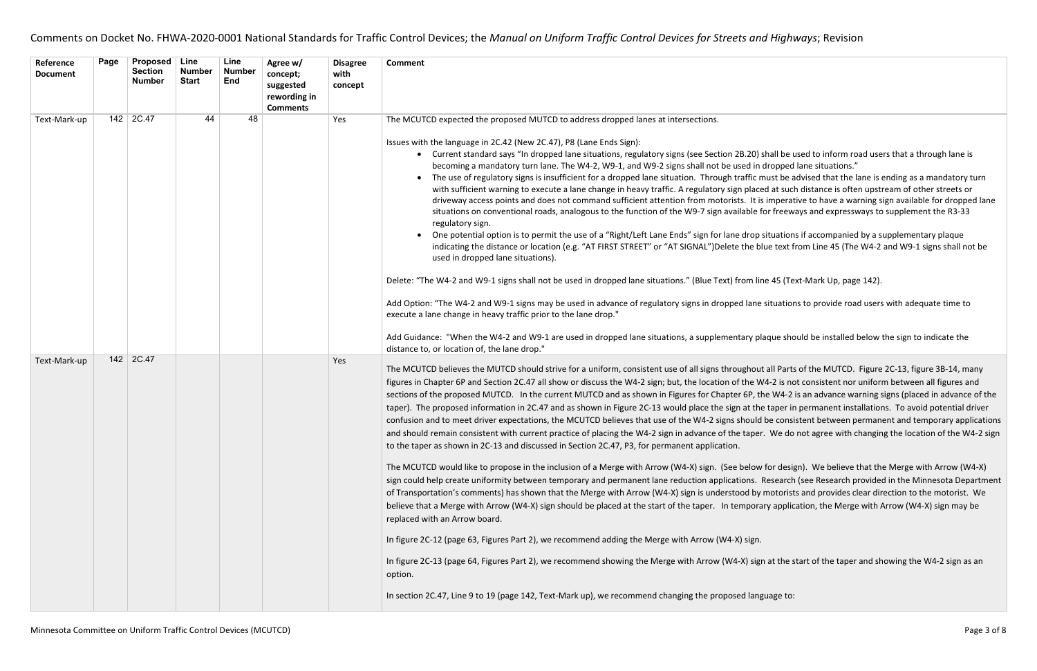shall be used to inform road users that a through lane is dropped lane situations."

must be advised that the lane is ending as a mandatory turn ed at such distance is often upstream of other streets or is imperative to have a warning sign available for dropped lane for freeways and expressways to supplement the R3-33

situations if accompanied by a supplementary plaque lue text from Line 45 (The W4-2 and W9-1 signs shall not be

ne 45 (Text-Mark Up, page 142).

situations to provide road users with adequate time to

laque should be installed below the sign to indicate the

It all Parts of the MUTCD. Figure 2C-13, figure 3B-14, many W4-2 is not consistent nor uniform between all figures and he W4-2 is an advance warning signs (placed in advance of the e taper in permanent installations. To avoid potential driver be consistent between permanent and temporary applications r. We do not agree with changing the location of the W4-2 sign

 $\nu$  for design). We believe that the Merge with Arrow (W4-X) Research (see Research provided in the Minnesota Department  $\nu$  motorists and provides clear direction to the motorist. We ary application, the Merge with Arrow (W4-X) sign may be

In at the start of the taper and showing the W4-2 sign as an

| Reference<br><b>Document</b> | Page | <b>Proposed</b><br><b>Section</b><br><b>Number</b> | Line<br><b>Number</b><br><b>Start</b> | Line<br><b>Number</b><br><b>End</b> | Agree w/<br>concept;<br>suggested<br>rewording in<br><b>Comments</b> | <b>Disagree</b><br>with<br>concept | <b>Comment</b>                                                                                                                                                                                                                                                                                                                                                                                                                                                                                                                                                                                                                                                                                                                                                                                                                                                                                                                                                                                                                                                                                                                                                                                                                                                                                                                                                                                                                                                                                                                                                                                                   |
|------------------------------|------|----------------------------------------------------|---------------------------------------|-------------------------------------|----------------------------------------------------------------------|------------------------------------|------------------------------------------------------------------------------------------------------------------------------------------------------------------------------------------------------------------------------------------------------------------------------------------------------------------------------------------------------------------------------------------------------------------------------------------------------------------------------------------------------------------------------------------------------------------------------------------------------------------------------------------------------------------------------------------------------------------------------------------------------------------------------------------------------------------------------------------------------------------------------------------------------------------------------------------------------------------------------------------------------------------------------------------------------------------------------------------------------------------------------------------------------------------------------------------------------------------------------------------------------------------------------------------------------------------------------------------------------------------------------------------------------------------------------------------------------------------------------------------------------------------------------------------------------------------------------------------------------------------|
| Text-Mark-up                 | 142  | 2C.47                                              | 44                                    | 48                                  |                                                                      | Yes                                | The MCUTCD expected the proposed MUTCD to address dropped lanes at intersections.<br>Issues with the language in 2C.42 (New 2C.47), P8 (Lane Ends Sign):<br>• Current standard says "In dropped lane situations, regulatory signs (see Section 2B.20) shall be u<br>becoming a mandatory turn lane. The W4-2, W9-1, and W9-2 signs shall not be used in dropped<br>The use of regulatory signs is insufficient for a dropped lane situation. Through traffic must be a<br>with sufficient warning to execute a lane change in heavy traffic. A regulatory sign placed at suc<br>driveway access points and does not command sufficient attention from motorists. It is imperat<br>situations on conventional roads, analogous to the function of the W9-7 sign available for freew<br>regulatory sign.<br>One potential option is to permit the use of a "Right/Left Lane Ends" sign for lane drop situation<br>indicating the distance or location (e.g. "AT FIRST STREET" or "AT SIGNAL")Delete the blue text f<br>used in dropped lane situations).<br>Delete: "The W4-2 and W9-1 signs shall not be used in dropped lane situations." (Blue Text) from line 45 (Te<br>Add Option: "The W4-2 and W9-1 signs may be used in advance of regulatory signs in dropped lane situation<br>execute a lane change in heavy traffic prior to the lane drop."<br>Add Guidance: "When the W4-2 and W9-1 are used in dropped lane situations, a supplementary plaque sho<br>distance to, or location of, the lane drop."                                                                                                  |
| Text-Mark-up                 |      | 142 2C.47                                          |                                       |                                     |                                                                      | Yes                                | The MCUTCD believes the MUTCD should strive for a uniform, consistent use of all signs throughout all Parts<br>figures in Chapter 6P and Section 2C.47 all show or discuss the W4-2 sign; but, the location of the W4-2 is no<br>sections of the proposed MUTCD. In the current MUTCD and as shown in Figures for Chapter 6P, the W4-2<br>taper). The proposed information in 2C.47 and as shown in Figure 2C-13 would place the sign at the taper in<br>confusion and to meet driver expectations, the MCUTCD believes that use of the W4-2 signs should be consi<br>and should remain consistent with current practice of placing the W4-2 sign in advance of the taper. We do<br>to the taper as shown in 2C-13 and discussed in Section 2C.47, P3, for permanent application.<br>The MCUTCD would like to propose in the inclusion of a Merge with Arrow (W4-X) sign. (See below for designtly<br>sign could help create uniformity between temporary and permanent lane reduction applications. Research<br>of Transportation's comments) has shown that the Merge with Arrow (W4-X) sign is understood by motorist<br>believe that a Merge with Arrow (W4-X) sign should be placed at the start of the taper. In temporary applic<br>replaced with an Arrow board.<br>In figure 2C-12 (page 63, Figures Part 2), we recommend adding the Merge with Arrow (W4-X) sign.<br>In figure 2C-13 (page 64, Figures Part 2), we recommend showing the Merge with Arrow (W4-X) sign at the s<br>option.<br>In section 2C.47, Line 9 to 19 (page 142, Text-Mark up), we recommend changing the proposed language to: |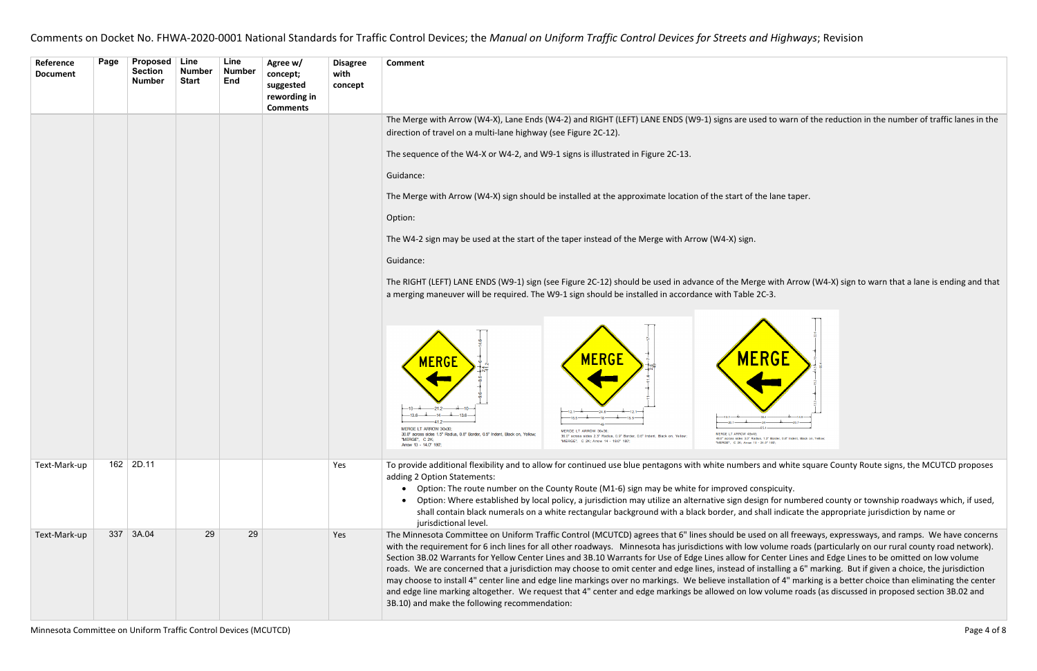### ed to warn of the reduction in the number of traffic lanes in the

he lane taper.

ge with Arrow (W4-X) sign to warn that a lane is ending and that



and white square County Route signs, the MCUTCD proposes

gn for numbered county or township roadways which, if used, hall indicate the appropriate jurisdiction by name or

ed on all freeways, expressways, and ramps. We have concerns volume roads (particularly on our rural county road network). Genter Lines and Edge Lines to be omitted on low volume nstalling a 6" marking. But if given a choice, the jurisdiction ion of 4" marking is a better choice than eliminating the center volume roads (as discussed in proposed section 3B.02 and

| Reference<br><b>Document</b> | Page | <b>Proposed</b><br><b>Section</b><br><b>Number</b> | <b>Line</b><br><b>Number</b><br><b>Start</b> | Line<br><b>Number</b><br>End | Agree w/<br>concept;<br>suggested<br>rewording in<br><b>Comments</b> | <b>Disagree</b><br>with<br>concept | <b>Comment</b>                                                                                                                                                                                                                                                                                                                                                                                                                                                                                                                                                                                                                                                                                                                      |
|------------------------------|------|----------------------------------------------------|----------------------------------------------|------------------------------|----------------------------------------------------------------------|------------------------------------|-------------------------------------------------------------------------------------------------------------------------------------------------------------------------------------------------------------------------------------------------------------------------------------------------------------------------------------------------------------------------------------------------------------------------------------------------------------------------------------------------------------------------------------------------------------------------------------------------------------------------------------------------------------------------------------------------------------------------------------|
|                              |      |                                                    |                                              |                              |                                                                      |                                    | The Merge with Arrow (W4-X), Lane Ends (W4-2) and RIGHT (LEFT) LANE ENDS (W9-1) signs are used to war                                                                                                                                                                                                                                                                                                                                                                                                                                                                                                                                                                                                                               |
|                              |      |                                                    |                                              |                              |                                                                      |                                    | direction of travel on a multi-lane highway (see Figure 2C-12).                                                                                                                                                                                                                                                                                                                                                                                                                                                                                                                                                                                                                                                                     |
|                              |      |                                                    |                                              |                              |                                                                      |                                    | The sequence of the W4-X or W4-2, and W9-1 signs is illustrated in Figure 2C-13.                                                                                                                                                                                                                                                                                                                                                                                                                                                                                                                                                                                                                                                    |
|                              |      |                                                    |                                              |                              |                                                                      |                                    | Guidance:                                                                                                                                                                                                                                                                                                                                                                                                                                                                                                                                                                                                                                                                                                                           |
|                              |      |                                                    |                                              |                              |                                                                      |                                    | The Merge with Arrow (W4-X) sign should be installed at the approximate location of the start of the lane ta                                                                                                                                                                                                                                                                                                                                                                                                                                                                                                                                                                                                                        |
|                              |      |                                                    |                                              |                              |                                                                      |                                    | Option:                                                                                                                                                                                                                                                                                                                                                                                                                                                                                                                                                                                                                                                                                                                             |
|                              |      |                                                    |                                              |                              |                                                                      |                                    | The W4-2 sign may be used at the start of the taper instead of the Merge with Arrow (W4-X) sign.                                                                                                                                                                                                                                                                                                                                                                                                                                                                                                                                                                                                                                    |
|                              |      |                                                    |                                              |                              |                                                                      |                                    | Guidance:                                                                                                                                                                                                                                                                                                                                                                                                                                                                                                                                                                                                                                                                                                                           |
|                              |      |                                                    |                                              |                              |                                                                      |                                    | The RIGHT (LEFT) LANE ENDS (W9-1) sign (see Figure 2C-12) should be used in advance of the Merge with Ar<br>a merging maneuver will be required. The W9-1 sign should be installed in accordance with Table 2C-3.                                                                                                                                                                                                                                                                                                                                                                                                                                                                                                                   |
|                              |      |                                                    |                                              |                              |                                                                      |                                    | MERGE<br><b>MERGE</b><br><b>MERGE</b><br>MERGE LT ARROW 30x30:<br><b>MERGE IT ARROW</b><br><b>IERGE LT ARROW 48x48</b><br>30.0" across sides 1.5" Radius, 0.8" Border, 0.5" Indent, Black on, Yellow<br>48.0" across sides 3.0" Radius, 1.3" Border, 0.8" Inde<br>"MERGE", C 2K;<br>"MERGE", C 2K; Arrow 14 - 18.0" 180';<br>"MERGE", C 2K; Arrow 15 - 24.0" 180"<br>Arrow 13 - 14.0" 180";                                                                                                                                                                                                                                                                                                                                         |
| Text-Mark-up                 |      | $162$ 2D.11                                        |                                              |                              |                                                                      | Yes                                | To provide additional flexibility and to allow for continued use blue pentagons with white numbers and whit<br>adding 2 Option Statements:<br>Option: The route number on the County Route (M1-6) sign may be white for improved conspicuity.<br>Option: Where established by local policy, a jurisdiction may utilize an alternative sign design for nu<br>shall contain black numerals on a white rectangular background with a black border, and shall indica<br>jurisdictional level.                                                                                                                                                                                                                                           |
| Text-Mark-up                 | 337  | 3A.04                                              | 29                                           | 29                           |                                                                      | Yes                                | The Minnesota Committee on Uniform Traffic Control (MCUTCD) agrees that 6" lines should be used on all f<br>with the requirement for 6 inch lines for all other roadways. Minnesota has jurisdictions with low volume r<br>Section 3B.02 Warrants for Yellow Center Lines and 3B.10 Warrants for Use of Edge Lines allow for Center Li<br>roads. We are concerned that a jurisdiction may choose to omit center and edge lines, instead of installing a<br>may choose to install 4" center line and edge line markings over no markings. We believe installation of 4" i<br>and edge line marking altogether. We request that 4" center and edge markings be allowed on low volume<br>3B.10) and make the following recommendation: |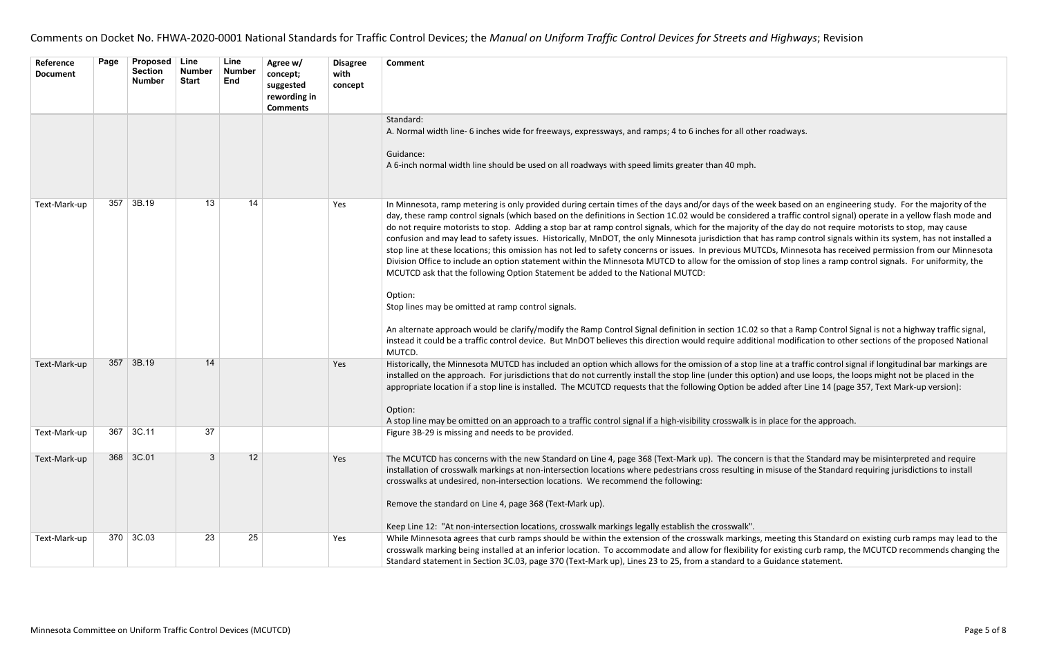| Reference<br><b>Document</b> | Page | <b>Proposed</b><br><b>Section</b><br><b>Number</b> | Line<br><b>Number</b><br><b>Start</b> | Line<br><b>Number</b><br>End | Agree w/<br>concept;<br>suggested<br>rewording in<br><b>Comments</b> | <b>Disagree</b><br>with<br>concept | <b>Comment</b>                                                                                                                                                                                                                                                                                                                                                                                                                                                                                                                                                                                                                                                                                                                                                                                                                                                                                                                                                                                                                                                                                           |
|------------------------------|------|----------------------------------------------------|---------------------------------------|------------------------------|----------------------------------------------------------------------|------------------------------------|----------------------------------------------------------------------------------------------------------------------------------------------------------------------------------------------------------------------------------------------------------------------------------------------------------------------------------------------------------------------------------------------------------------------------------------------------------------------------------------------------------------------------------------------------------------------------------------------------------------------------------------------------------------------------------------------------------------------------------------------------------------------------------------------------------------------------------------------------------------------------------------------------------------------------------------------------------------------------------------------------------------------------------------------------------------------------------------------------------|
|                              |      |                                                    |                                       |                              |                                                                      |                                    | Standard:<br>A. Normal width line- 6 inches wide for freeways, expressways, and ramps; 4 to 6 inches for all other roadways.<br>Guidance:<br>A 6-inch normal width line should be used on all roadways with speed limits greater than 40 mph.                                                                                                                                                                                                                                                                                                                                                                                                                                                                                                                                                                                                                                                                                                                                                                                                                                                            |
| Text-Mark-up                 | 357  | 3B.19                                              | 13                                    | 14                           |                                                                      | Yes                                | In Minnesota, ramp metering is only provided during certain times of the days and/or days of the week based c<br>day, these ramp control signals (which based on the definitions in Section 1C.02 would be considered a traffic c<br>do not require motorists to stop. Adding a stop bar at ramp control signals, which for the majority of the day d<br>confusion and may lead to safety issues. Historically, MnDOT, the only Minnesota jurisdiction that has ramp co<br>stop line at these locations; this omission has not led to safety concerns or issues. In previous MUTCDs, Minnes<br>Division Office to include an option statement within the Minnesota MUTCD to allow for the omission of stop li<br>MCUTCD ask that the following Option Statement be added to the National MUTCD:<br>Option:<br>Stop lines may be omitted at ramp control signals.<br>An alternate approach would be clarify/modify the Ramp Control Signal definition in section 1C.02 so that a Rai<br>instead it could be a traffic control device. But MnDOT believes this direction would require additional modifica |
| Text-Mark-up                 | 357  | 3B.19                                              | 14                                    |                              |                                                                      | Yes                                | MUTCD.<br>Historically, the Minnesota MUTCD has included an option which allows for the omission of a stop line at a trafi<br>installed on the approach. For jurisdictions that do not currently install the stop line (under this option) and use<br>appropriate location if a stop line is installed. The MCUTCD requests that the following Option be added after L<br>Option:<br>A stop line may be omitted on an approach to a traffic control signal if a high-visibility crosswalk is in place for t                                                                                                                                                                                                                                                                                                                                                                                                                                                                                                                                                                                              |
| Text-Mark-up                 |      | $367$ 3C.11                                        | 37                                    |                              |                                                                      |                                    | Figure 3B-29 is missing and needs to be provided.                                                                                                                                                                                                                                                                                                                                                                                                                                                                                                                                                                                                                                                                                                                                                                                                                                                                                                                                                                                                                                                        |
| Text-Mark-up                 |      | 368 3C.01                                          | 3                                     | 12                           |                                                                      | Yes                                | The MCUTCD has concerns with the new Standard on Line 4, page 368 (Text-Mark up). The concern is that the<br>installation of crosswalk markings at non-intersection locations where pedestrians cross resulting in misuse of t<br>crosswalks at undesired, non-intersection locations. We recommend the following:<br>Remove the standard on Line 4, page 368 (Text-Mark up).<br>Keep Line 12: "At non-intersection locations, crosswalk markings legally establish the crosswalk".                                                                                                                                                                                                                                                                                                                                                                                                                                                                                                                                                                                                                      |
| Text-Mark-up                 |      | 370   3C.03                                        | 23                                    | 25                           |                                                                      | Yes                                | While Minnesota agrees that curb ramps should be within the extension of the crosswalk markings, meeting th<br>crosswalk marking being installed at an inferior location. To accommodate and allow for flexibility for existing of<br>Standard statement in Section 3C.03, page 370 (Text-Mark up), Lines 23 to 25, from a standard to a Guidance st                                                                                                                                                                                                                                                                                                                                                                                                                                                                                                                                                                                                                                                                                                                                                     |

veek based on an engineering study. For the majority of the red a traffic control signal) operate in a yellow flash mode and of the day do not require motorists to stop, may cause has ramp control signals within its system, has not installed a TCDs, Minnesota has received permission from our Minnesota ion of stop lines a ramp control signals. For uniformity, the

so that a Ramp Control Signal is not a highway traffic signal, onal modification to other sections of the proposed National

Iine at a traffic control signal if longitudinal bar markings are ition) and use loops, the loops might not be placed in the added after Line 14 (page 357, Text Mark-up version):

in place for the approach.

n is that the Standard may be misinterpreted and require n misuse of the Standard requiring jurisdictions to install

meeting this Standard on existing curb ramps may lead to the for existing curb ramp, the MCUTCD recommends changing the Guidance statement.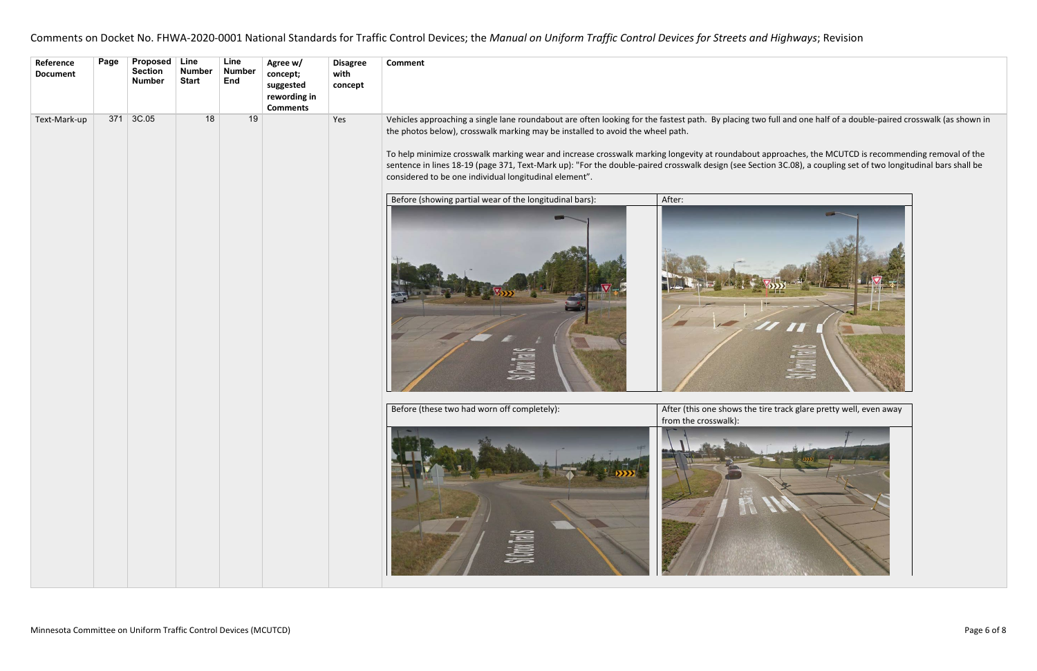| Reference<br><b>Document</b> | Page | <b>Proposed</b><br><b>Section</b><br><b>Number</b> | Line<br><b>Number</b><br><b>Start</b> | Line<br><b>Number</b><br>End | Agree w/<br>concept;<br>suggested<br>rewording in<br><b>Comments</b> | <b>Disagree</b><br>with<br>concept | <b>Comment</b>                                                                                                                                                                                                                                                                                                                                                                                                                                          |        |  |  |  |  |  |  |                                                              |                                                               |
|------------------------------|------|----------------------------------------------------|---------------------------------------|------------------------------|----------------------------------------------------------------------|------------------------------------|---------------------------------------------------------------------------------------------------------------------------------------------------------------------------------------------------------------------------------------------------------------------------------------------------------------------------------------------------------------------------------------------------------------------------------------------------------|--------|--|--|--|--|--|--|--------------------------------------------------------------|---------------------------------------------------------------|
| Text-Mark-up                 | 371  | 3C.05                                              | 18                                    | 19                           |                                                                      | Yes                                | Vehicles approaching a single lane roundabout are often looking for the fastest path. By placing tw<br>the photos below), crosswalk marking may be installed to avoid the wheel path.<br>To help minimize crosswalk marking wear and increase crosswalk marking longevity at roundabout<br>sentence in lines 18-19 (page 371, Text-Mark up): "For the double-paired crosswalk design (see Sec<br>considered to be one individual longitudinal element". |        |  |  |  |  |  |  |                                                              |                                                               |
|                              |      |                                                    |                                       |                              |                                                                      |                                    | Before (showing partial wear of the longitudinal bars):                                                                                                                                                                                                                                                                                                                                                                                                 | After: |  |  |  |  |  |  |                                                              |                                                               |
|                              |      |                                                    |                                       |                              |                                                                      |                                    |                                                                                                                                                                                                                                                                                                                                                                                                                                                         |        |  |  |  |  |  |  | Before (these two had worn off completely):<br><b>SUMMER</b> | After (this one shows the<br>from the crosswalk):<br>$\Gamma$ |

# vo full and one half of a double-paired crosswalk (as shown in

## t approaches, the MCUTCD is recommending removal of the ction 3C.08), a coupling set of two longitudinal bars shall be



tire track glare pretty well, even away

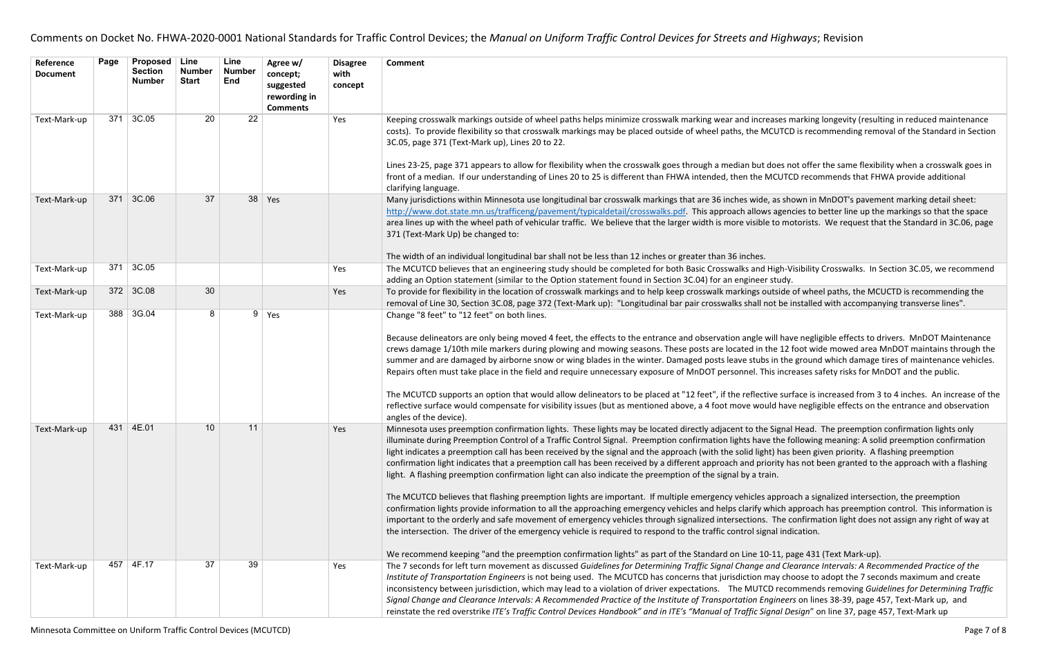creases marking longevity (resulting in reduced maintenance MCUTCD is recommending removal of the Standard in Section

It does not offer the same flexibility when a crosswalk goes in **MCUTCD recommends that FHWA provide additional** 

de, as shown in MnDOT's pavement marking detail sheet: ws agencies to better line up the markings so that the space ble to motorists. We request that the Standard in 3C.06, page

d High-Visibility Crosswalks. In Section 3C.05, we recommend

outside of wheel paths, the MCUCTD is recommending the I not be installed with accompanying transverse lines".

e will have negligible effects to drivers. MnDOT Maintenance n the 12 foot wide mowed area MnDOT maintains through the bs in the ground which damage tires of maintenance vehicles. This increases safety risks for MnDOT and the public.

ctive surface is increased from 3 to 4 inches. An increase of the ould have negligible effects on the entrance and observation

he Signal Head. The preemption confirmation lights only ave the following meaning: A solid preemption confirmation ght) has been given priority. A flashing preemption priority has not been granted to the approach with a flashing

Is approach a signalized intersection, the preemption which approach has preemption control. This information is is. The confirmation light does not assign any right of way at ignal indication.

## 10-11, page 431 (Text Mark-up).

| Reference<br><b>Document</b> | Page | Proposed<br><b>Section</b><br><b>Number</b> | Line<br><b>Number</b><br><b>Start</b> | Line<br><b>Number</b><br><b>End</b> | Agree w/<br>concept;<br>suggested<br>rewording in<br><b>Comments</b> | <b>Disagree</b><br>with<br>concept | <b>Comment</b>                                                                                                                                                                                                                                                                                                                                                                                                                                                                                                                                                                                                                                                                                                                                                                                                                                                                                                                                                                                                                                                                                                                                  |
|------------------------------|------|---------------------------------------------|---------------------------------------|-------------------------------------|----------------------------------------------------------------------|------------------------------------|-------------------------------------------------------------------------------------------------------------------------------------------------------------------------------------------------------------------------------------------------------------------------------------------------------------------------------------------------------------------------------------------------------------------------------------------------------------------------------------------------------------------------------------------------------------------------------------------------------------------------------------------------------------------------------------------------------------------------------------------------------------------------------------------------------------------------------------------------------------------------------------------------------------------------------------------------------------------------------------------------------------------------------------------------------------------------------------------------------------------------------------------------|
| Text-Mark-up                 | 371  | 3C.05                                       | 20                                    | 22                                  |                                                                      | Yes                                | Keeping crosswalk markings outside of wheel paths helps minimize crosswalk marking wear and increases n<br>costs). To provide flexibility so that crosswalk markings may be placed outside of wheel paths, the MCUTCI<br>3C.05, page 371 (Text-Mark up), Lines 20 to 22.<br>Lines 23-25, page 371 appears to allow for flexibility when the crosswalk goes through a median but does no<br>front of a median. If our understanding of Lines 20 to 25 is different than FHWA intended, then the MCUTC                                                                                                                                                                                                                                                                                                                                                                                                                                                                                                                                                                                                                                            |
| Text-Mark-up                 | 371  | 3C.06                                       | 37                                    | 38                                  | Yes                                                                  |                                    | clarifying language.<br>Many jurisdictions within Minnesota use longitudinal bar crosswalk markings that are 36 inches wide, as she<br>http://www.dot.state.mn.us/trafficeng/pavement/typicaldetail/crosswalks.pdf. This approach allows agent<br>area lines up with the wheel path of vehicular traffic. We believe that the larger width is more visible to mo<br>371 (Text-Mark Up) be changed to:<br>The width of an individual longitudinal bar shall not be less than 12 inches or greater than 36 inches.                                                                                                                                                                                                                                                                                                                                                                                                                                                                                                                                                                                                                                |
| Text-Mark-up                 | 371  | 3C.05                                       |                                       |                                     |                                                                      | Yes                                | The MCUTCD believes that an engineering study should be completed for both Basic Crosswalks and High-V<br>adding an Option statement (similar to the Option statement found in Section 3C.04) for an engineer study.                                                                                                                                                                                                                                                                                                                                                                                                                                                                                                                                                                                                                                                                                                                                                                                                                                                                                                                            |
| Text-Mark-up                 |      | 372 3C.08                                   | 30                                    |                                     |                                                                      | Yes                                | To provide for flexibility in the location of crosswalk markings and to help keep crosswalk markings outside<br>removal of Line 30, Section 3C.08, page 372 (Text-Mark up): "Longitudinal bar pair crosswalks shall not be i                                                                                                                                                                                                                                                                                                                                                                                                                                                                                                                                                                                                                                                                                                                                                                                                                                                                                                                    |
| Text-Mark-up                 | 388  | 3G.04                                       | 8                                     | 9                                   | Yes                                                                  |                                    | Change "8 feet" to "12 feet" on both lines.<br>Because delineators are only being moved 4 feet, the effects to the entrance and observation angle will have<br>crews damage 1/10th mile markers during plowing and mowing seasons. These posts are located in the 12 t<br>summer and are damaged by airborne snow or wing blades in the winter. Damaged posts leave stubs in the<br>Repairs often must take place in the field and require unnecessary exposure of MnDOT personnel. This increased<br>The MCUTCD supports an option that would allow delineators to be placed at "12 feet", if the reflective sur<br>reflective surface would compensate for visibility issues (but as mentioned above, a 4 foot move would hav<br>angles of the device).                                                                                                                                                                                                                                                                                                                                                                                       |
| Text-Mark-up                 | 431  | 4E.01                                       | 10                                    | 11                                  |                                                                      | Yes                                | Minnesota uses preemption confirmation lights. These lights may be located directly adjacent to the Signal<br>illuminate during Preemption Control of a Traffic Control Signal. Preemption confirmation lights have the fo<br>light indicates a preemption call has been received by the signal and the approach (with the solid light) has<br>confirmation light indicates that a preemption call has been received by a different approach and priority has<br>light. A flashing preemption confirmation light can also indicate the preemption of the signal by a train.<br>The MCUTCD believes that flashing preemption lights are important. If multiple emergency vehicles approa<br>confirmation lights provide information to all the approaching emergency vehicles and helps clarify which a<br>important to the orderly and safe movement of emergency vehicles through signalized intersections. The c<br>the intersection. The driver of the emergency vehicle is required to respond to the traffic control signal ind<br>We recommend keeping "and the preemption confirmation lights" as part of the Standard on Line 10-11, pa |
| Text-Mark-up                 | 457  | 4F.17                                       | 37                                    | 39                                  |                                                                      | Yes                                | The 7 seconds for left turn movement as discussed Guidelines for Determining Traffic Signal Change and Cle<br>Institute of Transportation Engineers is not being used. The MCUTCD has concerns that jurisdiction may cho<br>inconsistency between jurisdiction, which may lead to a violation of driver expectations. The MUTCD reco<br>Signal Change and Clearance Intervals: A Recommended Practice of the Institute of Transportation Engineer<br>reinstate the red overstrike ITE's Traffic Control Devices Handbook" and in ITE's "Manual of Traffic Signal De                                                                                                                                                                                                                                                                                                                                                                                                                                                                                                                                                                             |

Text-Mark-up 457 4F.17 37 39 Yes The 7 seconds for left turn movement as discussed *Guidelines for Determining Traffic Signal Change and Clearance Intervals: A Recommended Practice of the Inay* choose to adopt the 7 seconds maximum and create TCD recommends removing Guidelines for Determining Traffic *Signal Change and Clearance Intervals: A Recommended Practice of the Institute of Transportation Engineers* on lines 38-39, page 457, Text-Mark up, and Signal Design" on line 37, page 457, Text-Mark up